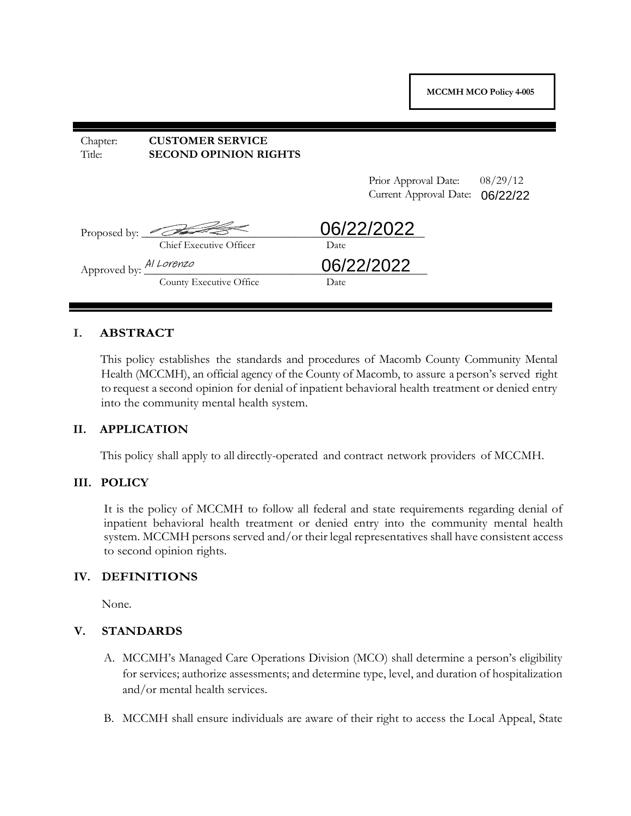| Chapter:<br>Title:             | <b>CUSTOMER SERVICE</b><br><b>SECOND OPINION RIGHTS</b>          |      |                                                |                      |
|--------------------------------|------------------------------------------------------------------|------|------------------------------------------------|----------------------|
|                                |                                                                  |      | Prior Approval Date:<br>Current Approval Date: | 08/29/12<br>06/22/22 |
|                                | Proposed by: $\overline{\mathcal{L}}$<br>Chief Executive Officer | Date | 06/22/2022                                     |                      |
| Approved by: <u>Al Lorenzo</u> | County Executive Office                                          | Date | 06/22/2022                                     |                      |

## **I. ABSTRACT**

This policy establishes the standards and procedures of Macomb County Community Mental Health (MCCMH), an official agency of the County of Macomb, to assure a person's served right to request a second opinion for denial of inpatient behavioral health treatment or denied entry into the community mental health system.

#### **II. APPLICATION**

This policy shall apply to all directly-operated and contract network providers of MCCMH.

#### **III. POLICY**

It is the policy of MCCMH to follow all federal and state requirements regarding denial of inpatient behavioral health treatment or denied entry into the community mental health system. MCCMH persons served and/or their legal representatives shall have consistent access to second opinion rights.

#### **IV. DEFINITIONS**

None.

#### **V. STANDARDS**

- A. MCCMH's Managed Care Operations Division (MCO) shall determine a person's eligibility for services; authorize assessments; and determine type, level, and duration of hospitalization and/or mental health services.
- B. MCCMH shall ensure individuals are aware of their right to access the Local Appeal, State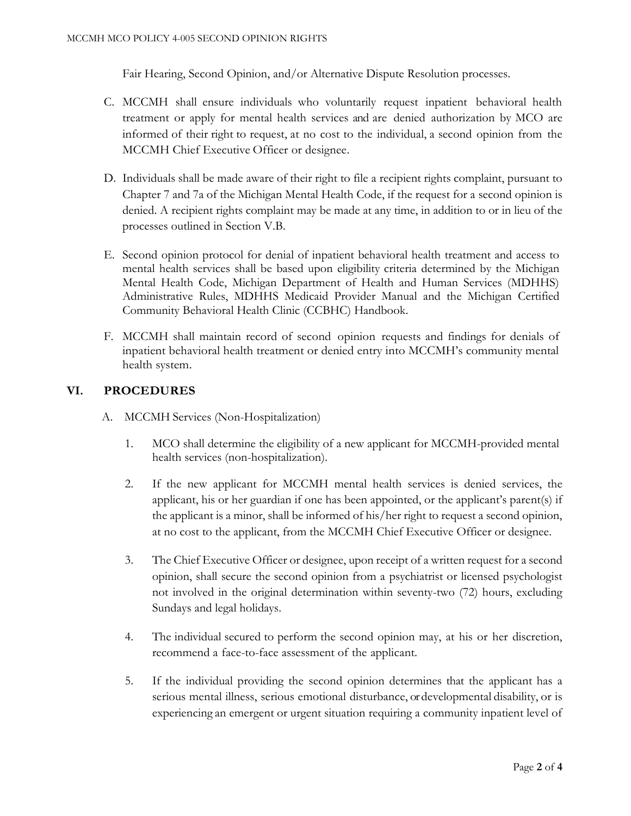Fair Hearing, Second Opinion, and/or Alternative Dispute Resolution processes.

- C. MCCMH shall ensure individuals who voluntarily request inpatient behavioral health treatment or apply for mental health services and are denied authorization by MCO are informed of their right to request, at no cost to the individual, a second opinion from the MCCMH Chief Executive Officer or designee.
- D. Individuals shall be made aware of their right to file a recipient rights complaint, pursuant to Chapter 7 and 7a of the Michigan Mental Health Code, if the request for a second opinion is denied. A recipient rights complaint may be made at any time, in addition to or in lieu of the processes outlined in Section V.B.
- E. Second opinion protocol for denial of inpatient behavioral health treatment and access to mental health services shall be based upon eligibility criteria determined by the Michigan Mental Health Code, Michigan Department of Health and Human Services (MDHHS) Administrative Rules, MDHHS Medicaid Provider Manual and the Michigan Certified Community Behavioral Health Clinic (CCBHC) Handbook.
- F. MCCMH shall maintain record of second opinion requests and findings for denials of inpatient behavioral health treatment or denied entry into MCCMH's community mental health system.

# **VI. PROCEDURES**

- A. MCCMH Services (Non-Hospitalization)
	- 1. MCO shall determine the eligibility of a new applicant for MCCMH-provided mental health services (non-hospitalization).
	- 2. If the new applicant for MCCMH mental health services is denied services, the applicant, his or her guardian if one has been appointed, or the applicant's parent(s) if the applicant is a minor, shall be informed of his/her right to request a second opinion, at no cost to the applicant, from the MCCMH Chief Executive Officer or designee.
	- 3. The Chief Executive Officer or designee, upon receipt of a written request for a second opinion, shall secure the second opinion from a psychiatrist or licensed psychologist not involved in the original determination within seventy-two (72) hours, excluding Sundays and legal holidays.
	- 4. The individual secured to perform the second opinion may, at his or her discretion, recommend a face-to-face assessment of the applicant.
	- 5. If the individual providing the second opinion determines that the applicant has a serious mental illness, serious emotional disturbance, or developmental disability, or is experiencing an emergent or urgent situation requiring a community inpatient level of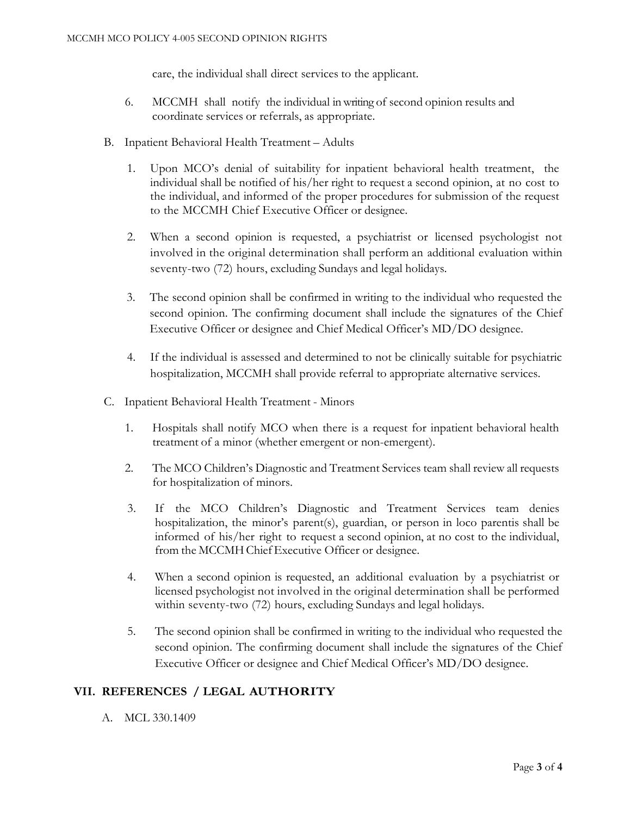care, the individual shall direct services to the applicant.

- 6. MCCMH shall notify the individual in writing of second opinion results and coordinate services or referrals, as appropriate.
- B. Inpatient Behavioral Health Treatment Adults
	- 1. Upon MCO's denial of suitability for inpatient behavioral health treatment, the individual shall be notified of his/her right to request a second opinion, at no cost to the individual, and informed of the proper procedures for submission of the request to the MCCMH Chief Executive Officer or designee.
	- 2. When a second opinion is requested, a psychiatrist or licensed psychologist not involved in the original determination shall perform an additional evaluation within seventy-two (72) hours, excluding Sundays and legal holidays.
	- 3. The second opinion shall be confirmed in writing to the individual who requested the second opinion. The confirming document shall include the signatures of the Chief Executive Officer or designee and Chief Medical Officer's MD/DO designee.
	- 4. If the individual is assessed and determined to not be clinically suitable for psychiatric hospitalization, MCCMH shall provide referral to appropriate alternative services.
- C. Inpatient Behavioral Health Treatment Minors
	- 1. Hospitals shall notify MCO when there is a request for inpatient behavioral health treatment of a minor (whether emergent or non-emergent).
	- 2. The MCO Children's Diagnostic and Treatment Services team shall review all requests for hospitalization of minors.
	- 3. If the MCO Children's Diagnostic and Treatment Services team denies hospitalization, the minor's parent(s), guardian, or person in loco parentis shall be informed of his/her right to request a second opinion, at no cost to the individual, from the MCCMHChiefExecutive Officer or designee.
	- 4. When a second opinion is requested, an additional evaluation by a psychiatrist or licensed psychologist not involved in the original determination shall be performed within seventy-two (72) hours, excluding Sundays and legal holidays.
	- 5. The second opinion shall be confirmed in writing to the individual who requested the second opinion. The confirming document shall include the signatures of the Chief Executive Officer or designee and Chief Medical Officer's MD/DO designee.

# **VII. REFERENCES / LEGAL AUTHORITY**

A. MCL 330.1409